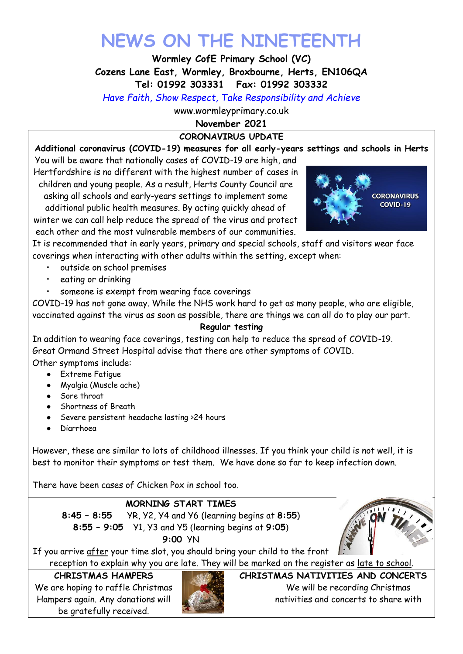# **NEWS ON THE NINETEENTH**

**Wormley CofE Primary School (VC)**

**Cozens Lane East, Wormley, Broxbourne, Herts, EN106QA**

**Tel: 01992 303331 Fax: 01992 303332**

*Have Faith, Show Respect, Take Responsibility and Achieve*

www.wormleyprimary.co.uk

**November 2021**

# **CORONAVIRUS UPDATE**

**Additional coronavirus (COVID-19) measures for all early-years settings and schools in Herts** 

You will be aware that nationally cases of COVID-19 are high, and Hertfordshire is no different with the highest number of cases in children and young people. As a result, Herts County Council are asking all schools and early-years settings to implement some additional public health measures. By acting quickly ahead of winter we can call help reduce the spread of the virus and protect each other and the most vulnerable members of our communities.



It is recommended that in early years, primary and special schools, staff and visitors wear face coverings when interacting with other adults within the setting, except when:

- outside on school premises
- eating or drinking
- someone is exempt from wearing face coverings

COVID-19 has not gone away. While the NHS work hard to get as many people, who are eligible, vaccinated against the virus as soon as possible, there are things we can all do to play our part.

# **Regular testing**

In addition to wearing face coverings, testing can help to reduce the spread of COVID-19. Great Ormand Street Hospital advise that there are other symptoms of COVID.

Other symptoms include:

- Extreme Fatigue
- Myalgia (Muscle ache)
- Sore throat
- Shortness of Breath
- Severe persistent headache lasting >24 hours
- Diarrhoea

However, these are similar to lots of childhood illnesses. If you think your child is not well, it is best to monitor their symptoms or test them. We have done so far to keep infection down.

There have been cases of Chicken Pox in school too.

# **MORNING START TIMES**

**8:45 – 8:55** YR, Y2, Y4 and Y6 (learning begins at **8:55**) **8:55 – 9:05** Y1, Y3 and Y5 (learning begins at **9:05**)

**9:00** YN

If you arrive after your time slot, you should bring your child to the front reception to explain why you are late. They will be marked on the register as late to school.

#### **CHRISTMAS HAMPERS**

We are hoping to raffle Christmas Hampers again. Any donations will be gratefully received.



**CHRISTMAS NATIVITIES AND CONCERTS** We will be recording Christmas nativities and concerts to share with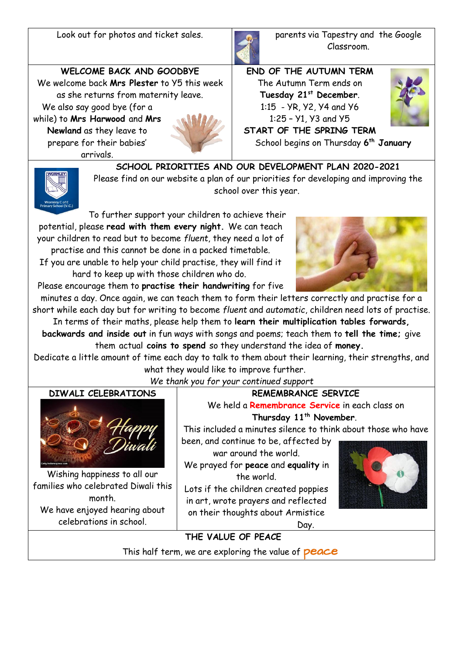Look out for photos and ticket sales. **parents via Tapestry and the Google** 



Classroom.

**WELCOME BACK AND GOODBYE** We welcome back **Mrs Plester** to Y5 this week as she returns from maternity leave. We also say good bye (for a

while) to **Mrs Harwood** and **Mrs Newland** as they leave to prepare for their babies' arrivals.



**END OF THE AUTUMN TERM** The Autumn Term ends on **Tuesday 21st December**. 1:15 - YR, Y2, Y4 and Y6 1:25 – Y1, Y3 and Y5



**START OF THE SPRING TERM** School begins on Thursday **6 th January**



**SCHOOL PRIORITIES AND OUR DEVELOPMENT PLAN 2020-2021** Please find on our website a plan of our priorities for developing and improving the school over this year.

To further support your children to achieve their potential, please **read with them every night.** We can teach your children to read but to become *fluent*, they need a lot of practise and this cannot be done in a packed timetable.

If you are unable to help your child practise, they will find it hard to keep up with those children who do.

Please encourage them to **practise their handwriting** for five

minutes a day. Once again, we can teach them to form their letters correctly and practise for a short while each day but for writing to become *fluent* and *automatic*, children need lots of practise.

In terms of their maths, please help them to **learn their multiplication tables forwards, backwards and inside out** in fun ways with songs and poems; teach them to **tell the time;** give them actual **coins to spend** so they understand the idea of **money.**

Dedicate a little amount of time each day to talk to them about their learning, their strengths, and what they would like to improve further.

*We thank you for your continued support*

# **DIWALI CELEBRATIONS**



Wishing happiness to all our families who celebrated Diwali this month. We have enjoyed hearing about celebrations in school.

**REMEMBRANCE SERVICE**

We held a **Remembrance Service** in each class on **Thursday 11th November**.

This included a minutes silence to think about those who have

been, and continue to be, affected by war around the world.

We prayed for **peace** and **equality** in the world.

Lots if the children created poppies in art, wrote prayers and reflected on their thoughts about Armistice





**THE VALUE OF PEACE**

This half term, we are exploring the value of **peace**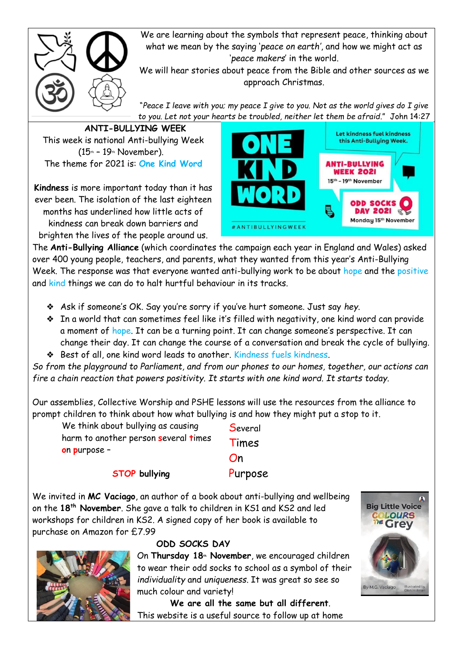

We are learning about the symbols that represent peace, thinking about what we mean by the saying '*peace on earth'*, and how we might act as '*peace makers*' in the world.

We will hear stories about peace from the Bible and other sources as we approach Christmas.

"*Peace I leave with you; my peace I give to you. Not as the world gives do I give to you. Let not your hearts be troubled, neither let them be afraid*." John 14:27

**ANTI-BULLYING WEEK** This week is national Anti-bullying Week  $(15<sup>th</sup> - 19<sup>th</sup>$  November). The theme for 2021 is: **One Kind Word**

**Kindness** is more important today than it has ever been. The isolation of the last eighteen months has underlined how little acts of kindness can break down barriers and brighten the lives of the people around us.



The **Anti-Bullying Alliance** (which coordinates the campaign each year in England and Wales) asked over 400 young people, teachers, and parents, what they wanted from this year's Anti-Bullying Week. The response was that everyone wanted anti-bullying work to be about hope and the positive and kind things we can do to halt hurtful behaviour in its tracks.

- ❖ Ask if someone's OK. Say you're sorry if you've hurt someone. Just say *hey*.
- ❖ In a world that can sometimes feel like it's filled with negativity, one kind word can provide a moment of hope. It can be a turning point. It can change someone's perspective. It can change their day. It can change the course of a conversation and break the cycle of bullying. ❖ Best of all, one kind word leads to another. Kindness fuels kindness.

*So from the playground to Parliament, and from our phones to our homes, together, our actions can fire a chain reaction that powers positivity. It starts with one kind word. It starts today.*

Our assemblies, Collective Worship and PSHE lessons will use the resources from the alliance to prompt children to think about how what bullying is and how they might put a stop to it.

We think about bullying as causing harm to another person **s**everal **t**imes **o**n **p**urpose –

**Several** Times On Purpose

**STOP bullying**

We invited in **MC Vaciago**, an author of a book about anti-bullying and wellbeing on the **18th November**. She gave a talk to children in KS1 and KS2 and led workshops for children in KS2. A signed copy of her book is available to purchase on Amazon for £7.99



# **ODD SOCKS DAY**

On **Thursday 18th November**, we encouraged children to wear their odd socks to school as a symbol of their *individuality* and *uniqueness*. It was great so see so much colour and variety!

 **We are all the same but all different**. This website is a useful source to follow up at home

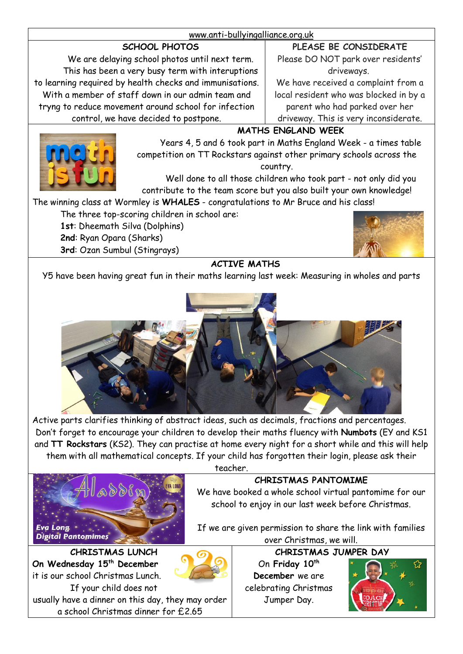#### [www.anti-bullyingalliance.org.uk](http://www.anti-bullyingalliance.org.uk/)

# **SCHOOL PHOTOS**

We are delaying school photos until next term. This has been a very busy term with interuptions to learning required by health checks and immunisations. With a member of staff down in our admin team and tryng to reduce movement around school for infection control, we have decided to postpone.

**PLEASE BE CONSIDERATE**

Please DO NOT park over residents' driveways.

We have received a complaint from a local resident who was blocked in by a parent who had parked over her driveway. This is very inconsiderate.

#### **MATHS ENGLAND WEEK**

Years 4, 5 and 6 took part in Maths England Week - a times table competition on TT Rockstars against other primary schools across the country.

Well done to all those children who took part - not only did you contribute to the team score but you also built your own knowledge!

The winning class at Wormley is **WHALES** - congratulations to Mr Bruce and his class!

- The three top-scoring children in school are:
	- **1st**: Dheemath Silva (Dolphins) **2nd**: Ryan Opara (Sharks) **3rd**: Ozan Sumbul (Stingrays)



# **ACTIVE MATHS**

Y5 have been having great fun in their maths learning last week: Measuring in wholes and parts



Active parts clarifies thinking of abstract ideas, such as decimals, fractions and percentages. Don't forget to encourage your children to develop their maths fluency with **Numbots** (EY and KS1 and **TT Rockstars** (KS2). They can practise at home every night for a short while and this will help them with all mathematical concepts. If your child has forgotten their login, please ask their



teacher.

# **CHRISTMAS PANTOMIME**

We have booked a whole school virtual pantomime for our school to enjoy in our last week before Christmas.

If we are given permission to share the link with families over Christmas, we will.

**CHRISTMAS JUMPER DAY**

On **Friday 10th December** we are celebrating Christmas Jumper Day.



**CHRISTMAS LUNCH On Wednesday 15th December**  it is our school Christmas Lunch. If your child does not usually have a dinner on this day, they may order a school Christmas dinner for £2.65

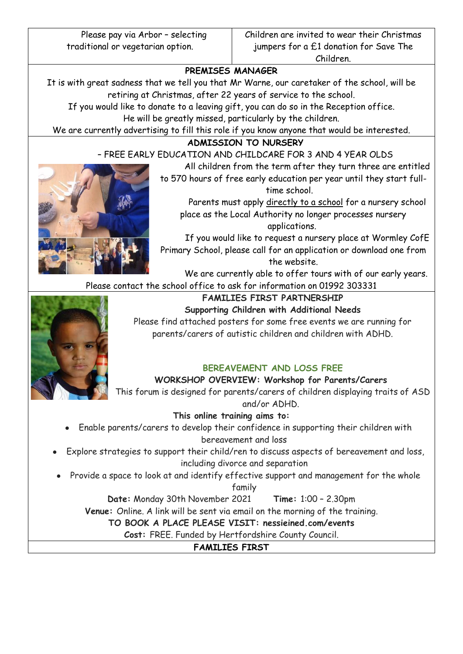Please pay via Arbor – selecting traditional or vegetarian option.

## **PREMISES MANAGER**

It is with great sadness that we tell you that Mr Warne, our caretaker of the school, will be retiring at Christmas, after 22 years of service to the school.

If you would like to donate to a leaving gift, you can do so in the Reception office. He will be greatly missed, particularly by the children.

We are currently advertising to fill this role if you know anyone that would be interested.

#### **ADMISSION TO NURSERY**

– FREE EARLY EDUCATION AND CHILDCARE FOR 3 AND 4 YEAR OLDS

All children from the term after they turn three are entitled

to 570 hours of free early education per year until they start fulltime school.

Parents must apply directly to a school for a nursery school place as the Local Authority no longer processes nursery applications.

If you would like to request a nursery place at Wormley CofE Primary School, please call for an application or download one from the website.

We are currently able to offer tours with of our early years.

Please contact the school office to ask for information on 01992 303331

# **FAMILIES FIRST PARTNERSHIP**

**Supporting Children with Additional Needs** Please find attached posters for some free events we are running for parents/carers of autistic children and children with ADHD.

# **BEREAVEMENT AND LOSS FREE**

**WORKSHOP OVERVIEW: Workshop for Parents/Carers**

This forum is designed for parents/carers of children displaying traits of ASD and/or ADHD.

#### **This online training aims to:**

- Enable parents/carers to develop their confidence in supporting their children with bereavement and loss
- Explore strategies to support their child/ren to discuss aspects of bereavement and loss, including divorce and separation
- Provide a space to look at and identify effective support and management for the whole

family

**Date:** Monday 30th November 2021 **Time:** 1:00 – 2.30pm

**Venue:** Online. A link will be sent via email on the morning of the training.

**TO BOOK A PLACE PLEASE VISIT: nessieined.com/events**

**Cost:** FREE. Funded by Hertfordshire County Council.

**FAMILIES FIRST**